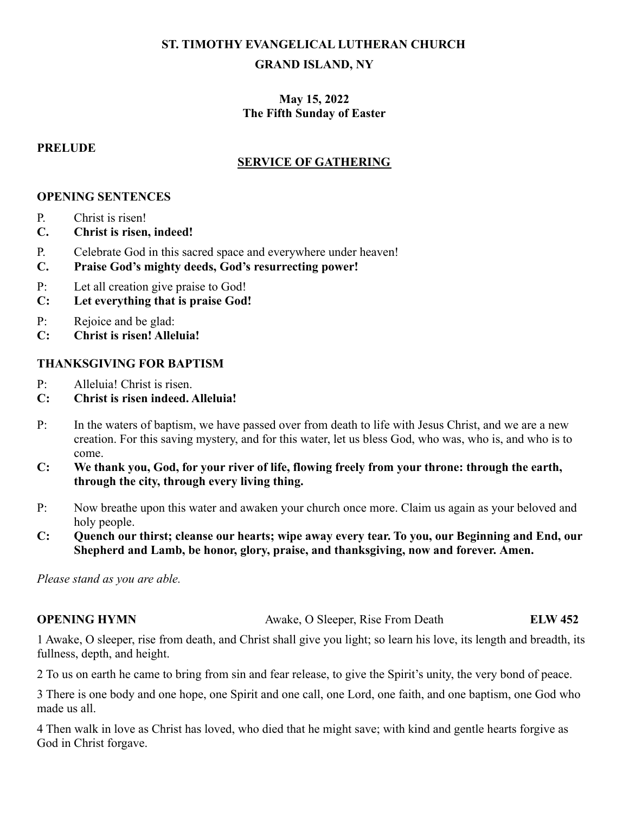# **ST. TIMOTHY EVANGELICAL LUTHERAN CHURCH**

## **GRAND ISLAND, NY**

# **May 15, 2022 The Fifth Sunday of Easter**

### **PRELUDE**

## **SERVICE OF GATHERING**

#### **OPENING SENTENCES**

- P. Christ is risen!
- **C. Christ is risen, indeed!**
- P. Celebrate God in this sacred space and everywhere under heaven!
- **C. Praise God's mighty deeds, God's resurrecting power!**
- P: Let all creation give praise to God!
- **C: Let everything that is praise God!**
- P: Rejoice and be glad:
- **C: Christ is risen! Alleluia!**

### **THANKSGIVING FOR BAPTISM**

- P: Alleluia! Christ is risen.
- **C: Christ is risen indeed. Alleluia!**
- P: In the waters of baptism, we have passed over from death to life with Jesus Christ, and we are a new creation. For this saving mystery, and for this water, let us bless God, who was, who is, and who is to come.
- **C: We thank you, God, for your river of life, flowing freely from your throne: through the earth, through the city, through every living thing.**
- P: Now breathe upon this water and awaken your church once more. Claim us again as your beloved and holy people.
- **C: Quench our thirst; cleanse our hearts; wipe away every tear. To you, our Beginning and End, our Shepherd and Lamb, be honor, glory, praise, and thanksgiving, now and forever. Amen.**

*Please stand as you are able.*

**OPENING HYMN** Awake, O Sleeper, Rise From Death **ELW 452** 

1 Awake, O sleeper, rise from death, and Christ shall give you light; so learn his love, its length and breadth, its fullness, depth, and height.

2 To us on earth he came to bring from sin and fear release, to give the Spirit's unity, the very bond of peace.

3 There is one body and one hope, one Spirit and one call, one Lord, one faith, and one baptism, one God who made us all.

4 Then walk in love as Christ has loved, who died that he might save; with kind and gentle hearts forgive as God in Christ forgave.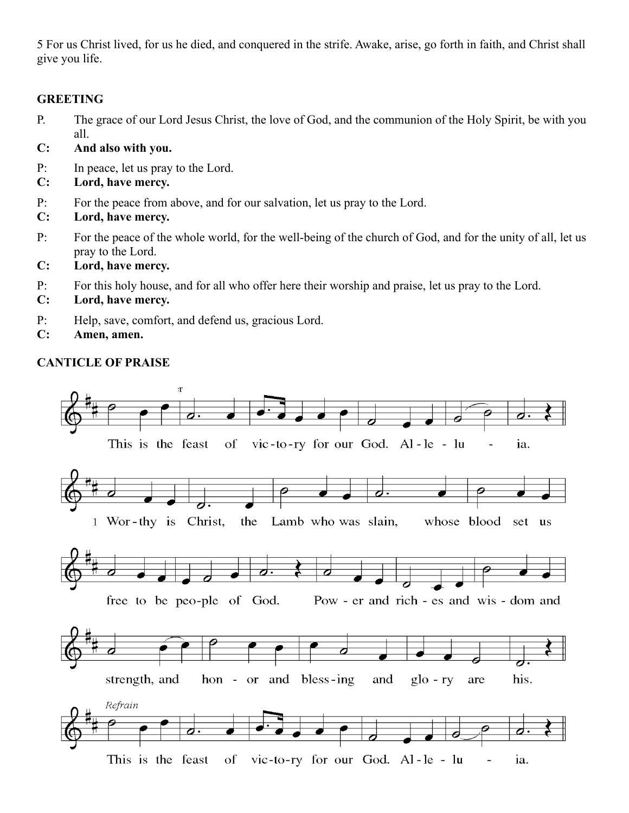5 For us Christ lived, for us he died, and conquered in the strife. Awake, arise, go forth in faith, and Christ shall give you life.

# **GREETING**

- P. The grace of our Lord Jesus Christ, the love of God, and the communion of the Holy Spirit, be with you all.
- **C: And also with you.**
- P: In peace, let us pray to the Lord.
- **C: Lord, have mercy.**
- P: For the peace from above, and for our salvation, let us pray to the Lord.
- **C: Lord, have mercy.**
- P: For the peace of the whole world, for the well-being of the church of God, and for the unity of all, let us pray to the Lord.
- **C: Lord, have mercy.**
- P: For this holy house, and for all who offer here their worship and praise, let us pray to the Lord.
- **C: Lord, have mercy.**
- P: Help, save, comfort, and defend us, gracious Lord.
- **C: Amen, amen.**

# **CANTICLE OF PRAISE**

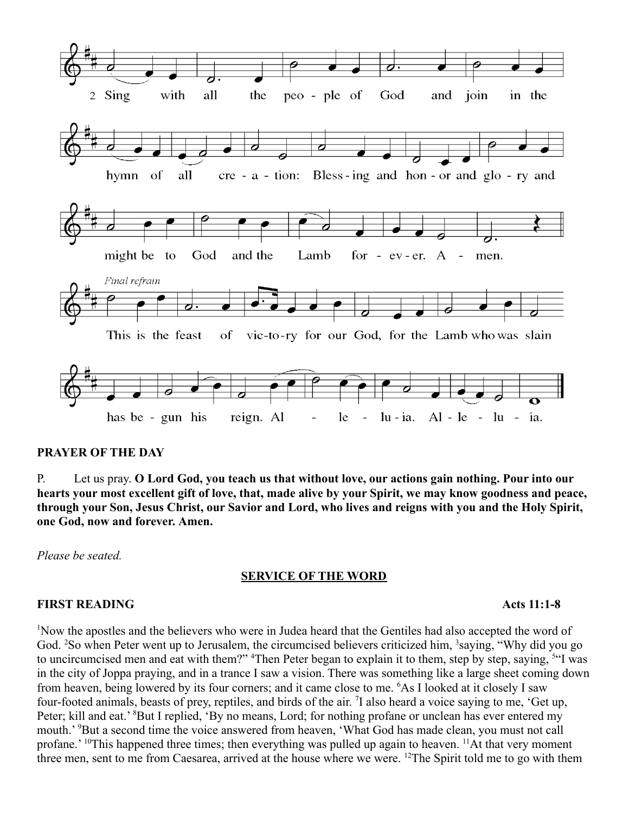

#### **PRAYER OF THE DAY**

P. Let us pray. **O Lord God, you teach us that without love, our actions gain nothing. Pour into our hearts your most excellent gift of love, that, made alive by your Spirit, we may know goodness and peace, through your Son, Jesus Christ, our Savior and Lord, who lives and reigns with you and the Holy Spirit, one God, now and forever. Amen.**

*Please be seated.*

#### **SERVICE OF THE WORD**

## **FIRST READING Acts 11:1-8**

<sup>1</sup>Now the apostles and the believers who were in Judea heard that the Gentiles had also accepted the word of God. <sup>2</sup>So when Peter went up to Jerusalem, the circumcised believers criticized him, <sup>3</sup>saying, "Why did you go to uncircumcised men and eat with them?" <sup>4</sup>Then Peter began to explain it to them, step by step, saying, <sup>5"</sup>I was in the city of Joppa praying, and in a trance I saw a vision. There was something like a large sheet coming down from heaven, being lowered by its four corners; and it came close to me. <sup>6</sup>As I looked at it closely I saw four-footed animals, beasts of prey, reptiles, and birds of the air. <sup>7</sup>I also heard a voice saying to me, 'Get up, Peter; kill and eat.' <sup>8</sup>But I replied, 'By no means, Lord; for nothing profane or unclean has ever entered my mouth.<sup>' 9</sup>But a second time the voice answered from heaven, 'What God has made clean, you must not call profane.<sup>' 10</sup>This happened three times; then everything was pulled up again to heaven.<sup>'</sup> At that very moment three men, sent to me from Caesarea, arrived at the house where we were. <sup>12</sup>The Spirit told me to go with them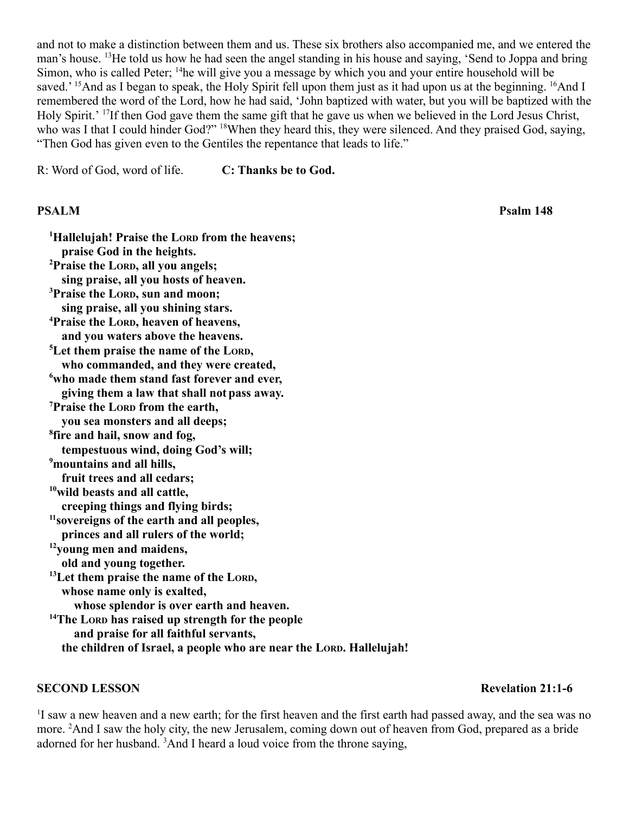and not to make a distinction between them and us. These six brothers also accompanied me, and we entered the man's house. <sup>13</sup>He told us how he had seen the angel standing in his house and saying, 'Send to Joppa and bring Simon, who is called Peter; <sup>14</sup>he will give you a message by which you and your entire household will be saved.<sup>' 15</sup>And as I began to speak, the Holy Spirit fell upon them just as it had upon us at the beginning. <sup>16</sup>And I remembered the word of the Lord, how he had said, 'John baptized with water, but you will be baptized with the Holy Spirit.' <sup>17</sup>If then God gave them the same gift that he gave us when we believed in the Lord Jesus Christ, who was I that I could hinder God?" <sup>18</sup>When they heard this, they were silenced. And they praised God, saying, "Then God has given even to the Gentiles the repentance that leads to life."

R: Word of God, word of life. **C: Thanks be to God.**

**PSALM Psalm 148**

**<sup>1</sup>Hallelujah! Praise the LORD from the heavens; praise God in the heights. <sup>2</sup>Praise the LORD, all you angels; sing praise, all you hosts of heaven. <sup>3</sup>Praise the LORD, sun and moon; sing praise, all you shining stars. <sup>4</sup>Praise the LORD, heaven of heavens, and you waters above the heavens. <sup>5</sup>Let them praise the name of the LORD, who commanded, and they were created, <sup>6</sup>who made them stand fast forever and ever, giving them a law that shall not pass away. <sup>7</sup>Praise the LORD from the earth, you sea monsters and all deeps; 8 fire and hail, snow and fog, tempestuous wind, doing God's will; <sup>9</sup>mountains and all hills, fruit trees and all cedars; <sup>10</sup>wild beasts and all cattle, creeping things and flying birds; <sup>11</sup>sovereigns of the earth and all peoples, princes and all rulers of the world; <sup>12</sup>young men and maidens, old and young together. <sup>13</sup>Let them praise the name of the LORD, whose name only is exalted, whose splendor is over earth and heaven. <sup>14</sup>The LORD has raised up strength for the people and praise for all faithful servants, the children of Israel, a people who are near the LORD. Hallelujah!**

## **SECOND LESSON Revelation 21:1-6**

<sup>1</sup>I saw a new heaven and a new earth; for the first heaven and the first earth had passed away, and the sea was no more. <sup>2</sup>And I saw the holy city, the new Jerusalem, coming down out of heaven from God, prepared as a bride adorned for her husband. <sup>3</sup>And I heard a loud voice from the throne saying,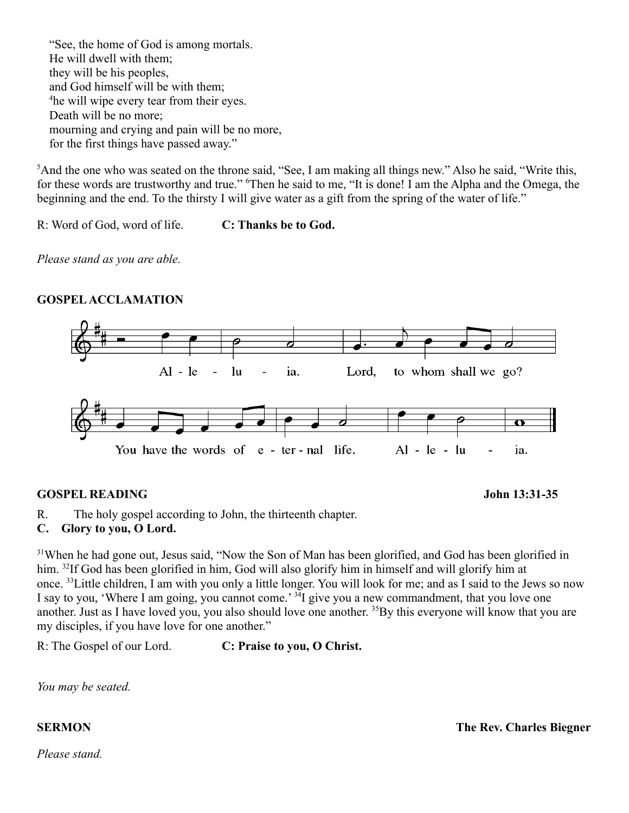"See, the home of God is among mortals. He will dwell with them; they will be his peoples, and God himself will be with them; <sup>4</sup>he will wipe every tear from their eyes. Death will be no more; mourning and crying and pain will be no more, for the first things have passed away."

<sup>5</sup>And the one who was seated on the throne said, "See, I am making all things new." Also he said, "Write this, for these words are trustworthy and true." <sup>6</sup>Then he said to me, "It is done! I am the Alpha and the Omega, the beginning and the end. To the thirsty I will give water as a gift from the spring of the water of life."

R: Word of God, word of life. **C: Thanks be to God.**

*Please stand as you are able.*

# **GOSPELACCLAMATION**



### **GOSPEL READING John 13:31-35**

R. The holy gospel according to John, the thirteenth chapter.

## **C. Glory to you, O Lord.**

<sup>31</sup>When he had gone out, Jesus said, "Now the Son of Man has been glorified, and God has been glorified in him. <sup>32</sup>If God has been glorified in him, God will also glorify him in himself and will glorify him at once. <sup>33</sup>Little children, I am with you only a little longer. You will look for me; and as I said to the Jews so now I say to you, 'Where I am going, you cannot come.' <sup>34</sup>I give you a new commandment, that you love one another. Just as I have loved you, you also should love one another. <sup>35</sup>By this everyone will know that you are my disciples, if you have love for one another."

R: The Gospel of our Lord. **C: Praise to you, O Christ.**

*You may be seated.*

**SERMON The Rev. Charles Biegner**

*Please stand.*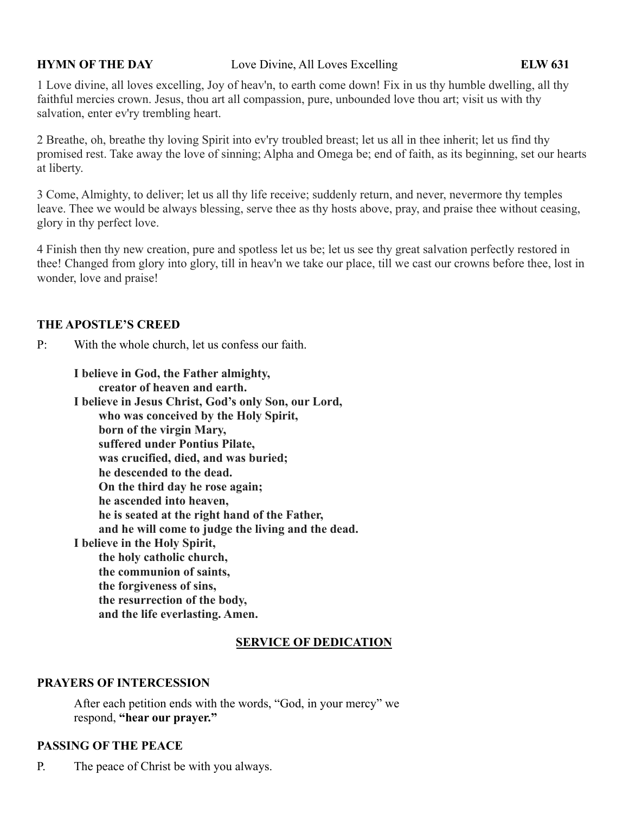1 Love divine, all loves excelling, Joy of heav'n, to earth come down! Fix in us thy humble dwelling, all thy faithful mercies crown. Jesus, thou art all compassion, pure, unbounded love thou art; visit us with thy salvation, enter ev'ry trembling heart.

2 Breathe, oh, breathe thy loving Spirit into ev'ry troubled breast; let us all in thee inherit; let us find thy promised rest. Take away the love of sinning; Alpha and Omega be; end of faith, as its beginning, set our hearts at liberty.

3 Come, Almighty, to deliver; let us all thy life receive; suddenly return, and never, nevermore thy temples leave. Thee we would be always blessing, serve thee as thy hosts above, pray, and praise thee without ceasing, glory in thy perfect love.

4 Finish then thy new creation, pure and spotless let us be; let us see thy great salvation perfectly restored in thee! Changed from glory into glory, till in heav'n we take our place, till we cast our crowns before thee, lost in wonder, love and praise!

### **THE APOSTLE'S CREED**

P: With the whole church, let us confess our faith.

**I believe in God, the Father almighty, creator of heaven and earth. I believe in Jesus Christ, God's only Son, our Lord, who was conceived by the Holy Spirit, born of the virgin Mary, suffered under Pontius Pilate, was crucified, died, and was buried; he descended to the dead. On the third day he rose again; he ascended into heaven, he is seated at the right hand of the Father, and he will come to judge the living and the dead. I believe in the Holy Spirit, the holy catholic church, the communion of saints, the forgiveness of sins, the resurrection of the body, and the life everlasting. Amen.**

### **SERVICE OF DEDICATION**

### **PRAYERS OF INTERCESSION**

After each petition ends with the words, "God, in your mercy" we respond, **"hear our prayer."**

### **PASSING OF THE PEACE**

P. The peace of Christ be with you always.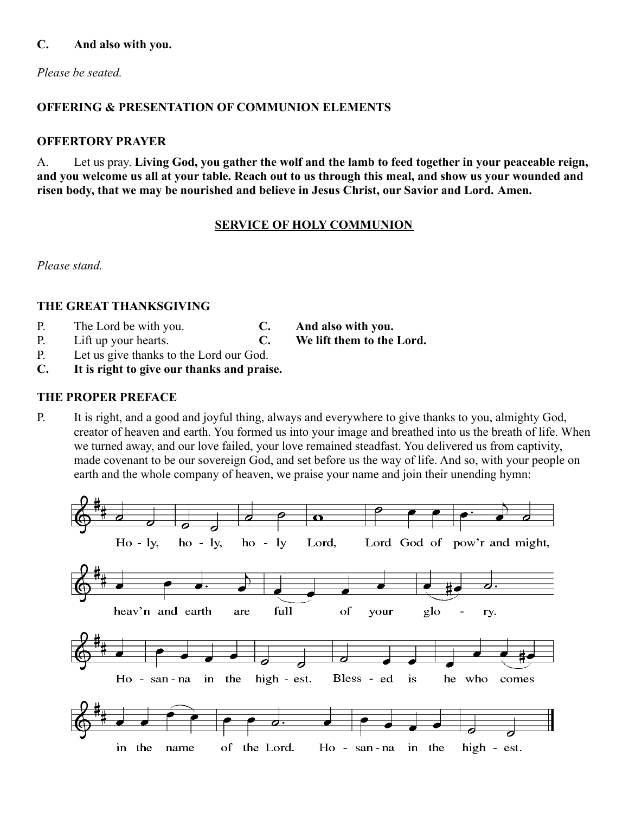# **C. And also with you.**

*Please be seated.*

# **OFFERING & PRESENTATION OF COMMUNION ELEMENTS**

# **OFFERTORY PRAYER**

A. Let us pray. **Living God, you gather the wolf and the lamb to feed together in your peaceable reign, and you welcome us all at your table. Reach out to us through this meal, and show us your wounded and risen body, that we may be nourished and believe in Jesus Christ, our Savior and Lord. Amen.**

# **SERVICE OF HOLY COMMUNION**

*Please stand.*

## **THE GREAT THANKSGIVING**

- P. The Lord be with you. **C. And also with you.**
- P. Lift up your hearts. **C. We lift them to the Lord.**

P. Let us give thanks to the Lord our God.

**C. It is right to give our thanks and praise.**

# **THE PROPER PREFACE**

P. It is right, and a good and joyful thing, always and everywhere to give thanks to you, almighty God, creator of heaven and earth. You formed us into your image and breathed into us the breath of life. When we turned away, and our love failed, your love remained steadfast. You delivered us from captivity, made covenant to be our sovereign God, and set before us the way of life. And so, with your people on earth and the whole company of heaven, we praise your name and join their unending hymn:

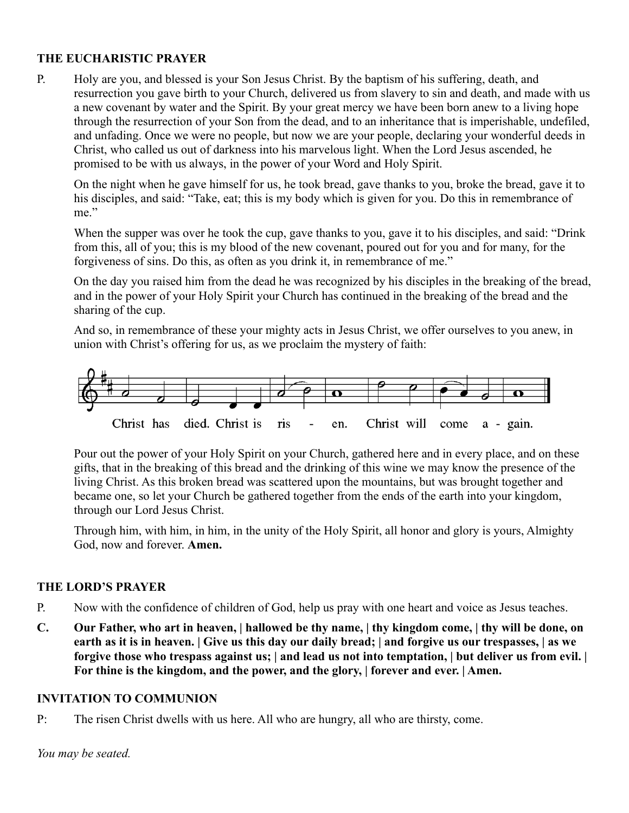# **THE EUCHARISTIC PRAYER**

P. Holy are you, and blessed is your Son Jesus Christ. By the baptism of his suffering, death, and resurrection you gave birth to your Church, delivered us from slavery to sin and death, and made with us a new covenant by water and the Spirit. By your great mercy we have been born anew to a living hope through the resurrection of your Son from the dead, and to an inheritance that is imperishable, undefiled, and unfading. Once we were no people, but now we are your people, declaring your wonderful deeds in Christ, who called us out of darkness into his marvelous light. When the Lord Jesus ascended, he promised to be with us always, in the power of your Word and Holy Spirit.

On the night when he gave himself for us, he took bread, gave thanks to you, broke the bread, gave it to his disciples, and said: "Take, eat; this is my body which is given for you. Do this in remembrance of me."

When the supper was over he took the cup, gave thanks to you, gave it to his disciples, and said: "Drink from this, all of you; this is my blood of the new covenant, poured out for you and for many, for the forgiveness of sins. Do this, as often as you drink it, in remembrance of me."

On the day you raised him from the dead he was recognized by his disciples in the breaking of the bread, and in the power of your Holy Spirit your Church has continued in the breaking of the bread and the sharing of the cup.

And so, in remembrance of these your mighty acts in Jesus Christ, we offer ourselves to you anew, in union with Christ's offering for us, as we proclaim the mystery of faith:



Pour out the power of your Holy Spirit on your Church, gathered here and in every place, and on these gifts, that in the breaking of this bread and the drinking of this wine we may know the presence of the living Christ. As this broken bread was scattered upon the mountains, but was brought together and became one, so let your Church be gathered together from the ends of the earth into your kingdom, through our Lord Jesus Christ.

Through him, with him, in him, in the unity of the Holy Spirit, all honor and glory is yours, Almighty God, now and forever. **Amen.**

## **THE LORD'S PRAYER**

- P. Now with the confidence of children of God, help us pray with one heart and voice as Jesus teaches.
- **C. Our Father, who art in heaven, | hallowed be thy name, | thy kingdom come, | thy will be done, on earth as it is in heaven. | Give us this day our daily bread; | and forgive us our trespasses, | as we forgive those who trespass against us; | and lead us not into temptation, | but deliver us from evil. | For thine is the kingdom, and the power, and the glory, | forever and ever. | Amen.**

## **INVITATION TO COMMUNION**

P: The risen Christ dwells with us here. All who are hungry, all who are thirsty, come.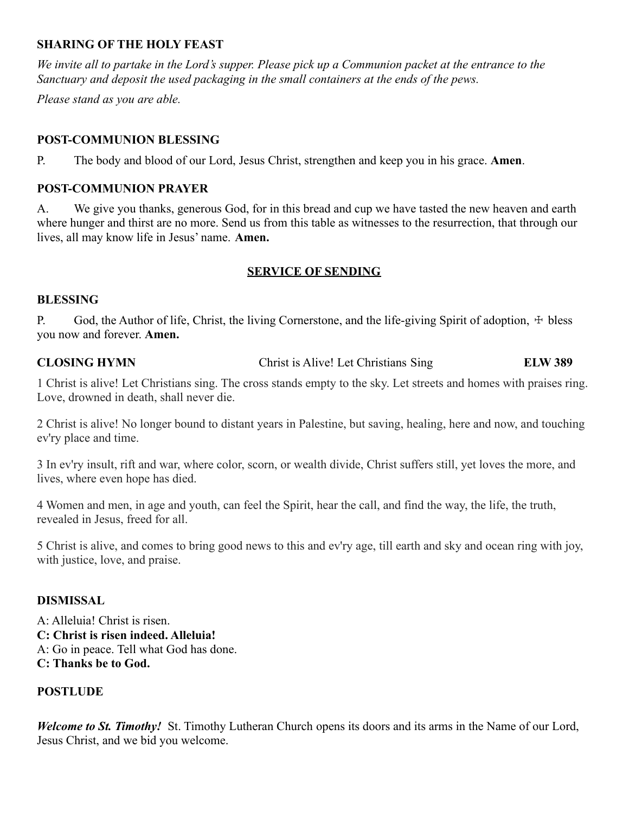# **SHARING OF THE HOLY FEAST**

*We invite all to partake in the Lord's supper. Please pick up a Communion packet at the entrance to the Sanctuary and deposit the used packaging in the small containers at the ends of the pews.*

*Please stand as you are able.*

# **POST-COMMUNION BLESSING**

P. The body and blood of our Lord, Jesus Christ, strengthen and keep you in his grace. **Amen**.

# **POST-COMMUNION PRAYER**

A. We give you thanks, generous God, for in this bread and cup we have tasted the new heaven and earth where hunger and thirst are no more. Send us from this table as witnesses to the resurrection, that through our lives, all may know life in Jesus' name. **Amen.**

# **SERVICE OF SENDING**

## **BLESSING**

P. God, the Author of life, Christ, the living Cornerstone, and the life-giving Spirit of adoption,  $\pm$  bless you now and forever. **Amen.**

# **CLOSING HYMN** Christ is Alive! Let Christians Sing **ELW 389**

1 Christ is alive! Let Christians sing. The cross stands empty to the sky. Let streets and homes with praises ring. Love, drowned in death, shall never die.

2 Christ is alive! No longer bound to distant years in Palestine, but saving, healing, here and now, and touching ev'ry place and time.

3 In ev'ry insult, rift and war, where color, scorn, or wealth divide, Christ suffers still, yet loves the more, and lives, where even hope has died.

4 Women and men, in age and youth, can feel the Spirit, hear the call, and find the way, the life, the truth, revealed in Jesus, freed for all.

5 Christ is alive, and comes to bring good news to this and ev'ry age, till earth and sky and ocean ring with joy, with justice, love, and praise.

## **DISMISSAL**

A: Alleluia! Christ is risen. **C: Christ is risen indeed. Alleluia!** A: Go in peace. Tell what God has done. **C: Thanks be to God.**

# **POSTLUDE**

*Welcome to St. Timothy!* St. Timothy Lutheran Church opens its doors and its arms in the Name of our Lord, Jesus Christ, and we bid you welcome.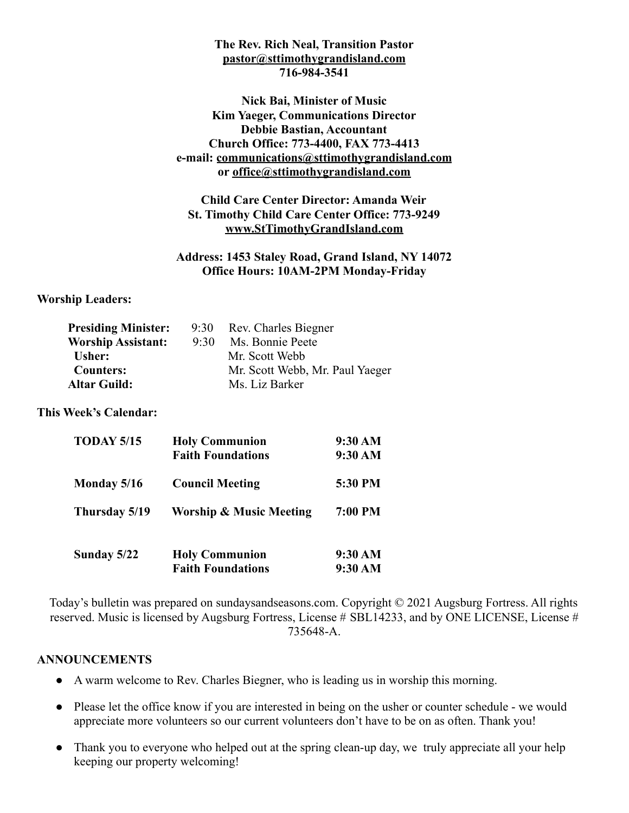#### **The Rev. Rich Neal, Transition Pastor pastor@sttimothygrandisland.com 716-984-3541**

**Nick Bai, Minister of Music Kim Yaeger, Communications Director Debbie Bastian, Accountant Church Office: 773-4400, FAX 773-4413 e-mail: [communications@sttimothygrandisland.com](mailto:communications@sttimothygrandisland.com) or office@sttimothygrandisland.com**

**Child Care Center Director: Amanda Weir St. Timothy Child Care Center Office: 773-9249 [www.StTimothyGrandIsland.com](http://www.sttimothygrandisland.com)**

### **Address: 1453 Staley Road, Grand Island, NY 14072 Office Hours: 10AM-2PM Monday-Friday**

### **Worship Leaders:**

| <b>Presiding Minister:</b> | 9:30 | Rev. Charles Biegner            |
|----------------------------|------|---------------------------------|
| <b>Worship Assistant:</b>  | 9:30 | Ms. Bonnie Peete                |
| Usher:                     |      | Mr. Scott Webb                  |
| <b>Counters:</b>           |      | Mr. Scott Webb, Mr. Paul Yaeger |
| <b>Altar Guild:</b>        |      | Ms. Liz Barker                  |

**This Week's Calendar:**

| <b>TODAY 5/15</b> | <b>Holy Communion</b><br><b>Faith Foundations</b> | 9:30 AM<br>9:30 AM |
|-------------------|---------------------------------------------------|--------------------|
| Monday 5/16       | <b>Council Meeting</b>                            | 5:30 PM            |
| Thursday 5/19     | <b>Worship &amp; Music Meeting</b>                | 7:00 PM            |
| Sunday 5/22       | <b>Holy Communion</b>                             | 9:30 AM            |
|                   | <b>Faith Foundations</b>                          | 9:30 AM            |

Today's bulletin was prepared on sundaysandseasons.com. Copyright © 2021 Augsburg Fortress. All rights reserved. Music is licensed by Augsburg Fortress, License # SBL14233, and by ONE LICENSE, License # 735648-A.

#### **ANNOUNCEMENTS**

- A warm welcome to Rev. Charles Biegner, who is leading us in worship this morning.
- Please let the office know if you are interested in being on the usher or counter schedule we would appreciate more volunteers so our current volunteers don't have to be on as often. Thank you!
- Thank you to everyone who helped out at the spring clean-up day, we truly appreciate all your help keeping our property welcoming!